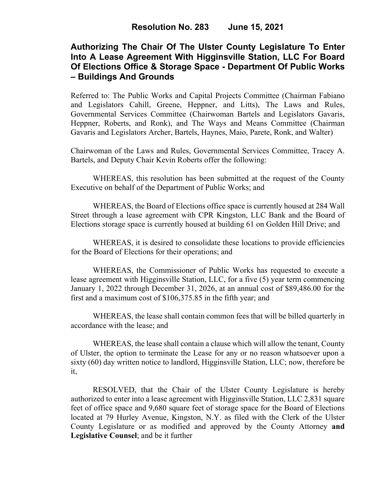# **Authorizing The Chair Of The Ulster County Legislature To Enter Into A Lease Agreement With Higginsville Station, LLC For Board Of Elections Office & Storage Space - Department Of Public Works – Buildings And Grounds**

Referred to: The Public Works and Capital Projects Committee (Chairman Fabiano and Legislators Cahill, Greene, Heppner, and Litts), The Laws and Rules, Governmental Services Committee (Chairwoman Bartels and Legislators Gavaris, Heppner, Roberts, and Ronk), and The Ways and Means Committee (Chairman Gavaris and Legislators Archer, Bartels, Haynes, Maio, Parete, Ronk, and Walter)

Chairwoman of the Laws and Rules, Governmental Services Committee, Tracey A. Bartels, and Deputy Chair Kevin Roberts offer the following:

WHEREAS, this resolution has been submitted at the request of the County Executive on behalf of the Department of Public Works; and

WHEREAS, the Board of Elections office space is currently housed at 284 Wall Street through a lease agreement with CPR Kingston, LLC Bank and the Board of Elections storage space is currently housed at building 61 on Golden Hill Drive; and

WHEREAS, it is desired to consolidate these locations to provide efficiencies for the Board of Elections for their operations; and

WHEREAS, the Commissioner of Public Works has requested to execute a lease agreement with Higginsville Station, LLC, for a five (5) year term commencing January 1, 2022 through December 31, 2026, at an annual cost of \$89,486.00 for the first and a maximum cost of \$106,375.85 in the fifth year; and

WHEREAS, the lease shall contain common fees that will be billed quarterly in accordance with the lease; and

WHEREAS, the lease shall contain a clause which will allow the tenant, County of Ulster, the option to terminate the Lease for any or no reason whatsoever upon a sixty (60) day written notice to landlord, Higginsville Station, LLC; now, therefore be it,

RESOLVED, that the Chair of the Ulster County Legislature is hereby authorized to enter into a lease agreement with Higginsville Station, LLC 2,831 square feet of office space and 9,680 square feet of storage space for the Board of Elections located at 79 Hurley Avenue, Kingston, N.Y. as filed with the Clerk of the Ulster County Legislature or as modified and approved by the County Attorney **and Legislative Counsel**; and be it further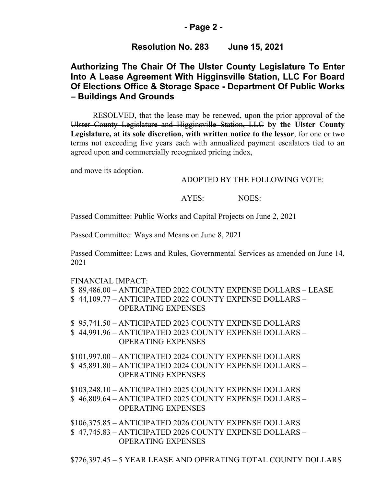### **- Page 2 -**

## **Resolution No. 283 June 15, 2021**

# **Authorizing The Chair Of The Ulster County Legislature To Enter Into A Lease Agreement With Higginsville Station, LLC For Board Of Elections Office & Storage Space - Department Of Public Works – Buildings And Grounds**

RESOLVED, that the lease may be renewed, upon the prior approval of the Ulster County Legislature and Higginsville Station, LLC **by the Ulster County Legislature, at its sole discretion, with written notice to the lessor**, for one or two terms not exceeding five years each with annualized payment escalators tied to an agreed upon and commercially recognized pricing index,

and move its adoption.

#### ADOPTED BY THE FOLLOWING VOTE:

#### AYES: NOES:

Passed Committee: Public Works and Capital Projects on June 2, 2021

Passed Committee: Ways and Means on June 8, 2021

Passed Committee: Laws and Rules, Governmental Services as amended on June 14, 2021

#### FINANCIAL IMPACT:

- \$ 89,486.00 ANTICIPATED 2022 COUNTY EXPENSE DOLLARS LEASE
- \$ 44,109.77 ANTICIPATED 2022 COUNTY EXPENSE DOLLARS OPERATING EXPENSES
- \$ 95,741.50 ANTICIPATED 2023 COUNTY EXPENSE DOLLARS
- \$ 44,991.96 ANTICIPATED 2023 COUNTY EXPENSE DOLLARS OPERATING EXPENSES
- \$101,997.00 ANTICIPATED 2024 COUNTY EXPENSE DOLLARS \$ 45,891.80 – ANTICIPATED 2024 COUNTY EXPENSE DOLLARS – OPERATING EXPENSES

\$103,248.10 – ANTICIPATED 2025 COUNTY EXPENSE DOLLARS \$ 46,809.64 – ANTICIPATED 2025 COUNTY EXPENSE DOLLARS – OPERATING EXPENSES

\$106,375.85 – ANTICIPATED 2026 COUNTY EXPENSE DOLLARS \$ 47,745.83 – ANTICIPATED 2026 COUNTY EXPENSE DOLLARS – OPERATING EXPENSES